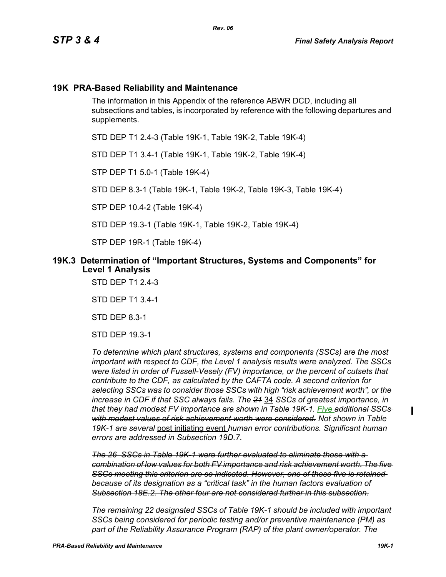### **19K PRA-Based Reliability and Maintenance**

The information in this Appendix of the reference ABWR DCD, including all subsections and tables, is incorporated by reference with the following departures and supplements.

STD DEP T1 2.4-3 (Table 19K-1, Table 19K-2, Table 19K-4)

STD DEP T1 3.4-1 (Table 19K-1, Table 19K-2, Table 19K-4)

STP DEP T1 5.0-1 (Table 19K-4)

STD DEP 8.3-1 (Table 19K-1, Table 19K-2, Table 19K-3, Table 19K-4)

STP DEP 10.4-2 (Table 19K-4)

STD DEP 19.3-1 (Table 19K-1, Table 19K-2, Table 19K-4)

STP DEP 19R-1 (Table 19K-4)

#### **19K.3 Determination of "Important Structures, Systems and Components" for Level 1 Analysis**

STD DEP T1 2.4-3

STD DEP T1 3.4-1

STD DEP 8.3-1

STD DEP 19.3-1

*To determine which plant structures, systems and components (SSCs) are the most important with respect to CDF, the Level 1 analysis results were analyzed. The SSCs were listed in order of Fussell-Vesely (FV) importance, or the percent of cutsets that contribute to the CDF, as calculated by the CAFTA code. A second criterion for selecting SSCs was to consider those SSCs with high "risk achievement worth", or the increase in CDF if that SSC always fails. The 21* 34 *SSCs of greatest importance, in that they had modest FV importance are shown in Table 19K-1. Five additional SSCs with modest values of risk achievement worth were considered. Not shown in Table 19K-1 are several* post initiating event *human error contributions. Significant human errors are addressed in Subsection 19D.7.*

*The 26 SSCs in Table 19K-1 were further evaluated to eliminate those with a combination of low values for both FV importance and risk achievement worth. The five SSCs meeting this criterion are so indicated. However, one of those five is retained because of its designation as a "critical task" in the human factors evaluation of Subsection 18E.2. The other four are not considered further in this subsection.*

*The remaining 22 designated SSCs of Table 19K-1 should be included with important SSCs being considered for periodic testing and/or preventive maintenance (PM) as part of the Reliability Assurance Program (RAP) of the plant owner/operator. The* 

I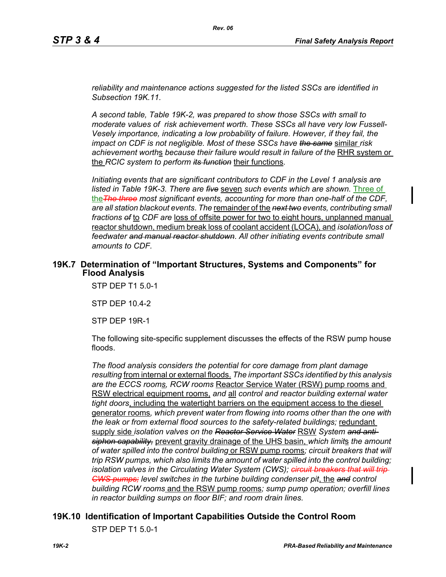*reliability and maintenance actions suggested for the listed SSCs are identified in Subsection 19K.11.*

*A second table, Table 19K-2, was prepared to show those SSCs with small to moderate values of risk achievement worth. These SSCs all have very low Fussell-Vesely importance, indicating a low probability of failure. However, if they fail, the impact on CDF is not negligible. Most of these SSCs have the same* similar *risk*  achievement worths because their failure would result in failure of the RHR system or the *RCIC system to perform its function* their functions*.*

*Initiating events that are significant contributors to CDF in the Level 1 analysis are listed in Table 19K-3. There are five* seven *such events which are shown.* Three of the*The three most significant events, accounting for more than one-half of the CDF, are all station blackout events*. *The* remainder of the *next two events, contributing small fractions of* to *CDF are* loss of offsite power for two to eight hours, unplanned manual reactor shutdown, medium break loss of coolant accident (LOCA), and *isolation/loss of feedwater and manual reactor shutdown*. *All other initiating events contribute small amounts to CDF.*

#### **19K.7 Determination of "Important Structures, Systems and Components" for Flood Analysis**

STP DEP T1 5.0-1

STP DEP 10.4-2

STP DEP 19R-1

The following site-specific supplement discusses the effects of the RSW pump house floods.

*The flood analysis considers the potential for core damage from plant damage resulting* from internal or external floods. *The important SSCs identified by this analysis are the ECCS rooms, RCW rooms* Reactor Service Water (RSW) pump rooms and RSW electrical equipment rooms, *and* all *control and reactor building external water tight doors*, including the watertight barriers on the equipment access to the diesel generator rooms*, which prevent water from flowing into rooms other than the one with the leak or from external flood sources to the safety-related buildings;* redundant supply side *isolation valves on the Reactor Service Water* RSW *System and antisiphon capability,* prevent gravity drainage of the UHS basin, *which limit*s *the amount of water spilled into the control building* or RSW pump rooms*; circuit breakers that will trip RSW pumps, which also limits the amount of water spilled into the control building; isolation valves in the Circulating Water System (CWS); <del>circuit breakers that will trip</del> CWS pumps; level switches in the turbine building condenser pit*, the *and control building RCW rooms* and the RSW pump rooms*; sump pump operation; overfill lines in reactor building sumps on floor BIF; and room drain lines.*

## **19K.10 Identification of Important Capabilities Outside the Control Room**

STP DEP T1 5.0-1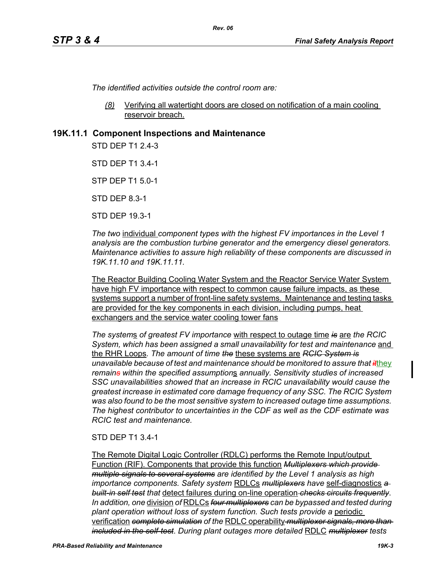*The identified activities outside the control room are:*

*(8)* Verifying all watertight doors are closed on notification of a main cooling reservoir breach.

### **19K.11.1 Component Inspections and Maintenance**

STD DFP T1 2 4-3

STD DEP T1 3.4-1

STP DEP T1 5.0-1

STD DEP 8.3-1

STD DEP 19.3-1

*The two* individual *component types with the highest FV importances in the Level 1 analysis are the combustion turbine generator and the emergency diesel generators. Maintenance activities to assure high reliability of these components are discussed in 19K.11.10 and 19K.11.11.*

The Reactor Building Cooling Water System and the Reactor Service Water System have high FV importance with respect to common cause failure impacts, as these systems support a number of front-line safety systems. Maintenance and testing tasks are provided for the key components in each division, including pumps, heat exchangers and the service water cooling tower fans

*The system*s *of greatest FV importance* with respect to outage time *is* are *the RCIC System, which has been assigned a small unavailability for test and maintenance* and the RHR Loops*. The amount of time the* these systems are *RCIC System is unavailable because of test and maintenance should be monitored to assure that it*they *remains within the specified assumption*s *annually. Sensitivity studies of increased SSC unavailabilities showed that an increase in RCIC unavailability would cause the greatest increase in estimated core damage frequency of any SSC. The RCIC System was also found to be the most sensitive system to increased outage time assumptions. The highest contributor to uncertainties in the CDF as well as the CDF estimate was RCIC test and maintenance.*

#### STD DEP T1 3.4-1

The Remote Digital Logic Controller (RDLC) performs the Remote Input/output Function (RIF). Components that provide this function *Multiplexers which provide multiple signals to several systems are identified by the Level 1 analysis as high importance components. Safety system* RDLCs *multiplexers have* self-diagnostics *a built-in self test that* detect failures during on-line operation *checks circuits frequently*. *In addition, one* division *of* RDLCs *four multiplexers can be bypassed and tested during plant operation without loss of system function. Such tests provide a* periodic verification *complete simulation of the* RDLC operability *multiplexer signals, more than included in the self-test*. *During plant outages more detailed* RDLC *multiplexer tests*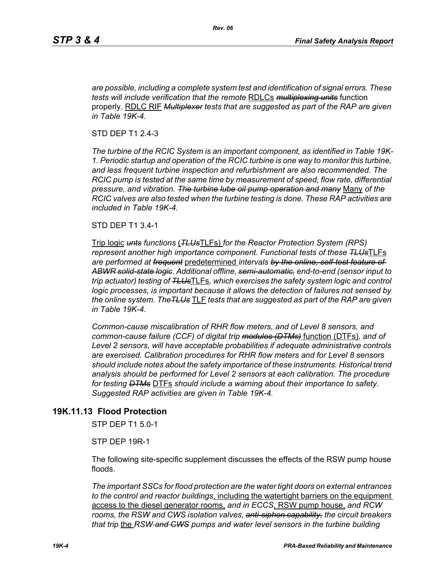*are possible, including a complete system test and identification of signal errors. These tests will include verification that the remote* RDLCs *multiplexing units* function properly. RDLC RIF *Multiplexer tests that are suggested as part of the RAP are given in Table 19K-4.*

STD DEP T1 2.4-3

*The turbine of the RCIC System is an important component, as identified in Table 19K-1. Periodic startup and operation of the RCIC turbine is one way to monitor this turbine, and less frequent turbine inspection and refurbishment are also recommended. The RCIC pump is tested at the same time by measurement of speed, flow rate, differential pressure, and vibration. The turbine lube oil pump operation and many* Many *of the RCIC valves are also tested when the turbine testing is done. These RAP activities are included in Table 19K-4.*

STD DEP T1 3.4-1

Trip logic *unts functions* (*TLUs*TLFs) *for the Reactor Protection System (RPS) represent another high importance component. Functional tests of these TLUs*TLFs *are performed at frequent* predetermined *intervals by the online, self-test feature of ABWR solid-state logic. Additional offline, semi-automatic, end-to-end (sensor input to trip actuator) testing of TLUs*TLFs*, which exercises the safety system logic and control logic processes, is important because it allows the detection of failures not sensed by the online system. TheTLUs* TLF *tests that are suggested as part of the RAP are given in Table 19K-4.* 

*Common-cause miscalibration of RHR flow meters, and of Level 8 sensors, and common-cause failure (CCF) of digital trip modules (DTMs)* function (DTFs)*, and of Level 2 sensors, will have acceptable probabilities if adequate administrative controls are exercised. Calibration procedures for RHR flow meters and for Level 8 sensors should include notes about the safety importance of these instruments. Historical trend analysis should be performed for Level 2 sensors at each calibration. The procedure for testing DTMs* DTFs *should include a warning about their importance to safety. Suggested RAP activities are given in Table 19K-4.*

## **19K.11.13 Flood Protection**

STP DEP T1 5.0-1

STP DEP 19R-1

The following site-specific supplement discusses the effects of the RSW pump house floods.

*The important SSCs for flood protection are the water tight doors on external entrances to the control and reactor buildings*, including the watertight barriers on the equipment access to the diesel generator rooms, *and in ECCS*, RSW pump house, *and RCW rooms, the RSW and CWS isolation valves, anti-siphon capability, the circuit breakers that trip* the *RSW and CWS pumps and water level sensors in the turbine building*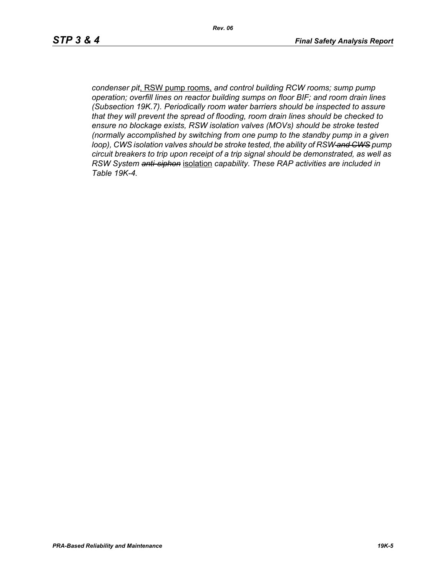*condenser pit*, RSW pump rooms, *and control building RCW rooms; sump pump operation; overfill lines on reactor building sumps on floor BIF; and room drain lines (Subsection 19K.7). Periodically room water barriers should be inspected to assure that they will prevent the spread of flooding, room drain lines should be checked to ensure no blockage exists, RSW isolation valves (MOVs) should be stroke tested (normally accomplished by switching from one pump to the standby pump in a given loop), CWS isolation valves should be stroke tested, the ability of RSW and CWS pump circuit breakers to trip upon receipt of a trip signal should be demonstrated, as well as RSW System anti-siphon* isolation *capability. These RAP activities are included in Table 19K-4.*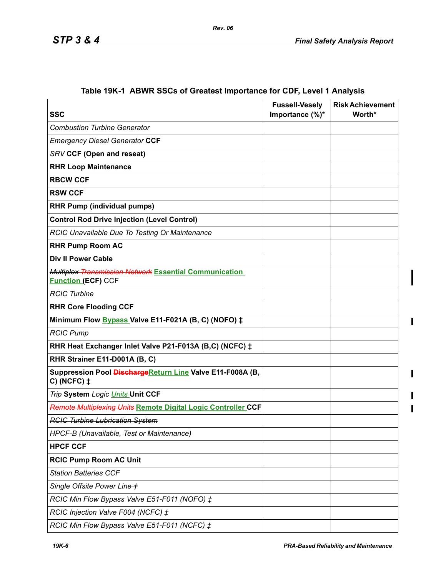| <b>SSC</b>                                                                           | <b>Fussell-Vesely</b><br>Importance (%)* | <b>Risk Achievement</b><br>Worth* |
|--------------------------------------------------------------------------------------|------------------------------------------|-----------------------------------|
| <b>Combustion Turbine Generator</b>                                                  |                                          |                                   |
| <b>Emergency Diesel Generator CCF</b>                                                |                                          |                                   |
| <b>SRV CCF (Open and reseat)</b>                                                     |                                          |                                   |
| <b>RHR Loop Maintenance</b>                                                          |                                          |                                   |
| <b>RBCW CCF</b>                                                                      |                                          |                                   |
| <b>RSW CCF</b>                                                                       |                                          |                                   |
| <b>RHR Pump (individual pumps)</b>                                                   |                                          |                                   |
| <b>Control Rod Drive Injection (Level Control)</b>                                   |                                          |                                   |
| RCIC Unavailable Due To Testing Or Maintenance                                       |                                          |                                   |
| <b>RHR Pump Room AC</b>                                                              |                                          |                                   |
| <b>Div II Power Cable</b>                                                            |                                          |                                   |
| Multiplex Transmission Network Essential Communication<br><b>Function (ECF) CCF</b>  |                                          |                                   |
| <b>RCIC Turbine</b>                                                                  |                                          |                                   |
| <b>RHR Core Flooding CCF</b>                                                         |                                          |                                   |
| Minimum Flow Bypass Valve E11-F021A (B, C) (NOFO) ‡                                  |                                          |                                   |
| <b>RCIC Pump</b>                                                                     |                                          |                                   |
| RHR Heat Exchanger Inlet Valve P21-F013A (B,C) (NCFC) ‡                              |                                          |                                   |
| RHR Strainer E11-D001A (B, C)                                                        |                                          |                                   |
| Suppression Pool Discharge Return Line Valve E11-F008A (B,<br>$C)$ (NCFC) $\ddagger$ |                                          |                                   |
| <b>Trip System</b> Logic <i>Units</i> Unit CCF                                       |                                          |                                   |
| Remote Multiplexing Units Remote Digital Logic Controller CCF                        |                                          |                                   |
| <b>RCIC Turbine Lubrication System</b>                                               |                                          |                                   |
| HPCF-B (Unavailable, Test or Maintenance)                                            |                                          |                                   |
| <b>HPCF CCF</b>                                                                      |                                          |                                   |
| <b>RCIC Pump Room AC Unit</b>                                                        |                                          |                                   |
| <b>Station Batteries CCF</b>                                                         |                                          |                                   |
| Single Offsite Power Line +                                                          |                                          |                                   |
| RCIC Min Flow Bypass Valve E51-F011 (NOFO) ‡                                         |                                          |                                   |
| RCIC Injection Valve F004 (NCFC) ‡                                                   |                                          |                                   |
| RCIC Min Flow Bypass Valve E51-F011 (NCFC) ‡                                         |                                          |                                   |

# **Table 19K-1 ABWR SSCs of Greatest Importance for CDF, Level 1 Analysis**

 $\mathbf{I}$ 

 $\mathbf I$ 

 $\begin{array}{c} \hline \end{array}$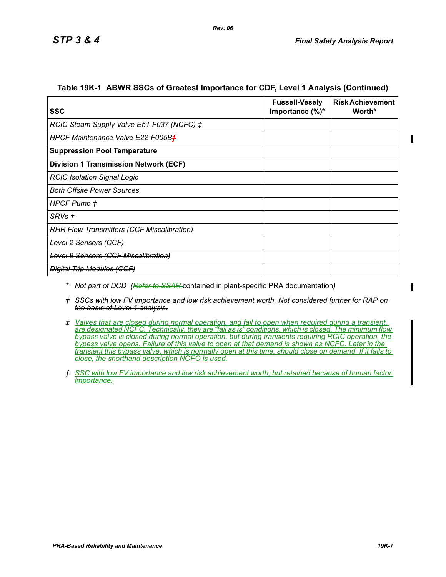| <b>SSC</b>                                        | <b>Fussell-Vesely</b><br>Importance $(\%)^*$ | <b>Risk Achievement</b><br>Worth* |
|---------------------------------------------------|----------------------------------------------|-----------------------------------|
| RCIC Steam Supply Valve E51-F037 (NCFC) ‡         |                                              |                                   |
| HPCF Maintenance Valve E22-F005Bf                 |                                              |                                   |
| <b>Suppression Pool Temperature</b>               |                                              |                                   |
| <b>Division 1 Transmission Network (ECF)</b>      |                                              |                                   |
| <b>RCIC Isolation Signal Logic</b>                |                                              |                                   |
| <del>Both Offsite Power Sources</del>             |                                              |                                   |
| <b>HPGF Pump +</b>                                |                                              |                                   |
| <del>SRVs †</del>                                 |                                              |                                   |
| <b>RHR Flow Transmitters (CCF Miscalibration)</b> |                                              |                                   |
| <del>Level 2 Sensors (CCF)</del>                  |                                              |                                   |
| <b>Level 8 Sensors (CCF Miscalibration)</b>       |                                              |                                   |
| <b>Digital Trip Modules (CCF)</b>                 |                                              |                                   |

#### **Table 19K-1 ABWR SSCs of Greatest Importance for CDF, Level 1 Analysis (Continued)**

*Rev. 06*

*\* Not part of DCD (Refer to SSAR* contained in plant-specific PRA documentation*)*

*† SSCs with low FV importance and low risk achievement worth. Not considered further for RAP on the basis of Level 1 analysis.*

*‡ Valves that are closed during normal operation, and fail to open when required during a transient, are designated NCFC. Technically, they are "fail as is" conditions, which is closed. The minimum flow bypass valve is closed during normal operation, but during transients requiring RCIC operation, the bypass valve opens. Failure of this valve to open at that demand is shown as NCFC. Later in the transient this bypass valve, which is normally open at this time, should close on demand. If it fails to close, the shorthand description NOFO is used.*

*ƒ SSC with low FV importance and low risk achievement worth, but retained because of human factor importance.*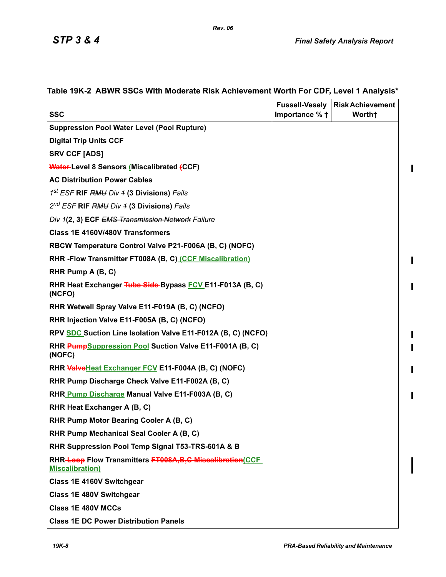$\mathbf{l}$ 

 $\mathbf{I}$ 

I

I I

 $\blacksquare$ 

 $\blacksquare$ 

| <b>SSC</b>                                                                             | Importance % + | Fussell-Vesely   Risk Achievement<br>Worth+ |
|----------------------------------------------------------------------------------------|----------------|---------------------------------------------|
| <b>Suppression Pool Water Level (Pool Rupture)</b>                                     |                |                                             |
| <b>Digital Trip Units CCF</b>                                                          |                |                                             |
| <b>SRV CCF [ADS]</b>                                                                   |                |                                             |
| <b>Water-Level 8 Sensors (Miscalibrated (CCF)</b>                                      |                |                                             |
| <b>AC Distribution Power Cables</b>                                                    |                |                                             |
| 1 <sup>st</sup> ESF <b>RIF</b> RMU Div 4 (3 Divisions) Fails                           |                |                                             |
| 2 <sup>nd</sup> ESF RIF RMU Div 4 (3 Divisions) Fails                                  |                |                                             |
| Div 1(2, 3) ECF EMS Transmission Network Failure                                       |                |                                             |
| Class 1E 4160V/480V Transformers                                                       |                |                                             |
| RBCW Temperature Control Valve P21-F006A (B, C) (NOFC)                                 |                |                                             |
| RHR - Flow Transmitter FT008A (B, C) (CCF Miscalibration)                              |                |                                             |
| RHR Pump A (B, C)                                                                      |                |                                             |
| RHR Heat Exchanger Tube Side-Bypass FCV E11-F013A (B, C)<br>(NCFO)                     |                |                                             |
| RHR Wetwell Spray Valve E11-F019A (B, C) (NCFO)                                        |                |                                             |
| RHR Injection Valve E11-F005A (B, C) (NCFO)                                            |                |                                             |
| RPV SDC Suction Line Isolation Valve E11-F012A (B, C) (NCFO)                           |                |                                             |
| RHR PumpSuppression Pool Suction Valve E11-F001A (B, C)<br>(NOFC)                      |                |                                             |
| RHR ValveHeat Exchanger FCV E11-F004A (B, C) (NOFC)                                    |                |                                             |
| RHR Pump Discharge Check Valve E11-F002A (B, C)                                        |                |                                             |
| RHR Pump Discharge Manual Valve E11-F003A (B, C)                                       |                |                                             |
| RHR Heat Exchanger A (B, C)                                                            |                |                                             |
| RHR Pump Motor Bearing Cooler A (B, C)                                                 |                |                                             |
| RHR Pump Mechanical Seal Cooler A (B, C)                                               |                |                                             |
| RHR Suppression Pool Temp Signal T53-TRS-601A & B                                      |                |                                             |
| RHR-Loop Flow Transmitters FT008A, B, C Miscalibration (CCF<br><b>Miscalibration</b> ) |                |                                             |
| <b>Class 1E 4160V Switchgear</b>                                                       |                |                                             |
| <b>Class 1E 480V Switchgear</b>                                                        |                |                                             |
| <b>Class 1E 480V MCCs</b>                                                              |                |                                             |
| <b>Class 1E DC Power Distribution Panels</b>                                           |                |                                             |

# **Table 19K-2 ABWR SSCs With Moderate Risk Achievement Worth For CDF, Level 1 Analysis\***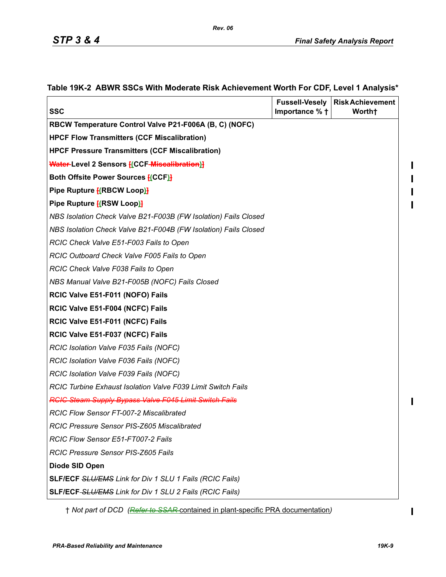ı

 $\blacksquare$ 

 $\overline{\phantom{a}}$ 

| <b>SSC</b>                                                      | <b>Fussell-Vesely</b><br>Importance % + | <b>Risk Achievement</b><br>Worth+ |
|-----------------------------------------------------------------|-----------------------------------------|-----------------------------------|
| RBCW Temperature Control Valve P21-F006A (B, C) (NOFC)          |                                         |                                   |
| <b>HPCF Flow Transmitters (CCF Miscalibration)</b>              |                                         |                                   |
| <b>HPCF Pressure Transmitters (CCF Miscalibration)</b>          |                                         |                                   |
| <b>Water-Level 2 Sensors [(CCF-Miscalibration)]</b>             |                                         |                                   |
| Both Offsite Power Sources [(CCF)]                              |                                         |                                   |
| Pipe Rupture [(RBCW Loop)]                                      |                                         |                                   |
| Pipe Rupture <b>[(RSW Loop)]</b>                                |                                         |                                   |
| NBS Isolation Check Valve B21-F003B (FW Isolation) Fails Closed |                                         |                                   |
| NBS Isolation Check Valve B21-F004B (FW Isolation) Fails Closed |                                         |                                   |
| RCIC Check Valve E51-F003 Fails to Open                         |                                         |                                   |
| RCIC Outboard Check Valve F005 Fails to Open                    |                                         |                                   |
| RCIC Check Valve F038 Fails to Open                             |                                         |                                   |
| NBS Manual Valve B21-F005B (NOFC) Fails Closed                  |                                         |                                   |
| RCIC Valve E51-F011 (NOFO) Fails                                |                                         |                                   |
| RCIC Valve E51-F004 (NCFC) Fails                                |                                         |                                   |
| RCIC Valve E51-F011 (NCFC) Fails                                |                                         |                                   |
| RCIC Valve E51-F037 (NCFC) Fails                                |                                         |                                   |
| RCIC Isolation Valve F035 Fails (NOFC)                          |                                         |                                   |
| RCIC Isolation Valve F036 Fails (NOFC)                          |                                         |                                   |
| RCIC Isolation Valve F039 Fails (NOFC)                          |                                         |                                   |
| RCIC Turbine Exhaust Isolation Valve F039 Limit Switch Fails    |                                         |                                   |
| <b>RCIC Steam Supply Bypass Valve F045 Limit Switch Fails</b>   |                                         |                                   |
| <b>RCIC Flow Sensor FT-007-2 Miscalibrated</b>                  |                                         |                                   |
| RCIC Pressure Sensor PIS-Z605 Miscalibrated                     |                                         |                                   |
| RCIC Flow Sensor E51-FT007-2 Fails                              |                                         |                                   |
| RCIC Pressure Sensor PIS-Z605 Fails                             |                                         |                                   |
| Diode SID Open                                                  |                                         |                                   |
| <b>SLF/ECF SLU/EMS Link for Div 1 SLU 1 Fails (RCIC Fails)</b>  |                                         |                                   |
| SLF/ECF-SLU/EMS Link for Div 1 SLU 2 Fails (RCIC Fails)         |                                         |                                   |

### **Table 19K-2 ABWR SSCs With Moderate Risk Achievement Worth For CDF, Level 1 Analysis\***

*Rev. 06*

† *Not part of DCD (Refer to SSAR* contained in plant-specific PRA documentation*)*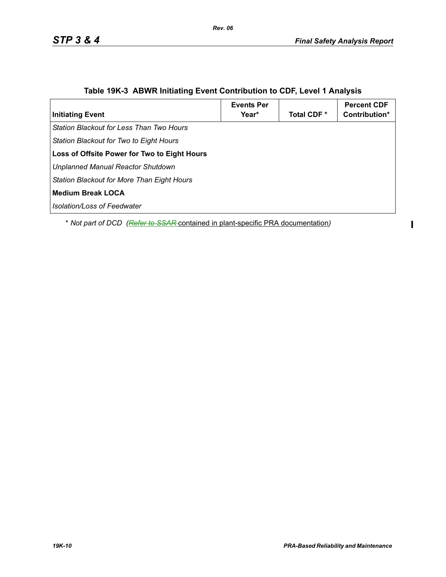$\mathbf{I}$ 

| <b>Initiating Event</b>                             | <b>Events Per</b><br>Year* | Total CDF <sup>*</sup> | <b>Percent CDF</b><br>Contribution* |
|-----------------------------------------------------|----------------------------|------------------------|-------------------------------------|
| l Station Blackout for Less Than Two Hours          |                            |                        |                                     |
| Station Blackout for Two to Eight Hours             |                            |                        |                                     |
| <b>Loss of Offsite Power for Two to Eight Hours</b> |                            |                        |                                     |
| Unplanned Manual Reactor Shutdown                   |                            |                        |                                     |
| Station Blackout for More Than Eight Hours          |                            |                        |                                     |
| Medium Break LOCA                                   |                            |                        |                                     |
| l Isolation/Loss of Feedwater                       |                            |                        |                                     |

# **Table 19K-3 ABWR Initiating Event Contribution to CDF, Level 1 Analysis**

*Rev. 06*

\* *Not part of DCD (Refer to SSAR* contained in plant-specific PRA documentation*)*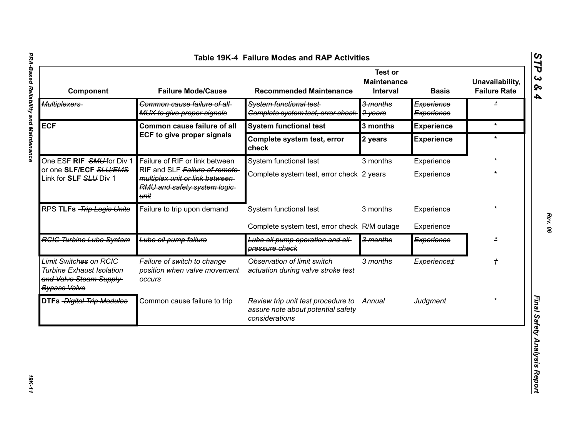| Component                                                                                                    | <b>Failure Mode/Cause</b>                                                                                 | <b>Recommended Maintenance</b>                                                             | <b>Test or</b><br><b>Maintenance</b><br>Interval | <b>Basis</b>             | Unavailability,<br><b>Failure Rate</b> |
|--------------------------------------------------------------------------------------------------------------|-----------------------------------------------------------------------------------------------------------|--------------------------------------------------------------------------------------------|--------------------------------------------------|--------------------------|----------------------------------------|
| Multiplexers                                                                                                 | Common cause failure of all-<br>MUX to give proper signals                                                | System functional test-<br>Complete system test, error check-                              | 3 months<br>2 years                              | Experience<br>Experience | ż                                      |
| <b>ECF</b>                                                                                                   | Common cause failure of all                                                                               | <b>System functional test</b>                                                              | 3 months                                         | <b>Experience</b>        | $\star$                                |
|                                                                                                              | <b>ECF to give proper signals</b>                                                                         | Complete system test, error<br>check                                                       | 2 years                                          | <b>Experience</b>        | $\star$                                |
| One ESF RIF SMU-for Div 1                                                                                    | Failure of RIF or link between                                                                            | System functional test                                                                     | 3 months                                         | Experience               |                                        |
| or one SLF/ECF SLU/EMS<br>Link for SLF SLU Div 1                                                             | RIF and SLF Failure of remote-<br>multiplex unit or link between-<br>RMU and safety system logic-<br>unit | Complete system test, error check 2 years                                                  |                                                  | Experience               |                                        |
| RPS TLFs - Trip Logic Units                                                                                  | Failure to trip upon demand                                                                               | System functional test                                                                     | 3 months                                         | Experience               |                                        |
|                                                                                                              |                                                                                                           | Complete system test, error check R/M outage                                               |                                                  | Experience               |                                        |
| <b>RGIG Turbine Lube System</b>                                                                              | Lube oil pump failure                                                                                     | Lube oil pump operation and oil-<br>pressure check                                         | 3 months                                         | Experience               |                                        |
| Limit Switches on RCIC<br><b>Turbine Exhaust Isolation</b><br>and Valve Steam Supply-<br><b>Bypass Valve</b> | Failure of switch to change<br>position when valve movement<br>occurs                                     | Observation of limit switch<br>actuation during valve stroke test                          | 3 months                                         | Experience‡              |                                        |
| <b>DTFs</b> - Digital Trip Modules                                                                           | Common cause failure to trip                                                                              | Review trip unit test procedure to<br>assure note about potential safety<br>considerations | Annual                                           | Judgment                 |                                        |

*STP 3 & 4*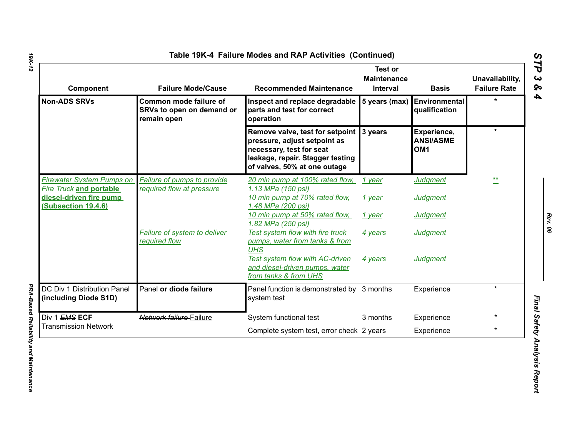| Component                                                                                     | <b>Failure Mode/Cause</b>                                          | <b>Recommended Maintenance</b>                                                                                                                                                 | <b>Test or</b><br><b>Maintenance</b><br>Interval | <b>Basis</b>                                       | Unavailability,<br><b>Failure Rate</b> |
|-----------------------------------------------------------------------------------------------|--------------------------------------------------------------------|--------------------------------------------------------------------------------------------------------------------------------------------------------------------------------|--------------------------------------------------|----------------------------------------------------|----------------------------------------|
| <b>Non-ADS SRVs</b>                                                                           | Common mode failure of<br>SRVs to open on demand or<br>remain open | Inspect and replace degradable<br>parts and test for correct<br>operation                                                                                                      | 5 years (max)                                    | Environmental<br>qualification                     |                                        |
|                                                                                               |                                                                    | Remove valve, test for setpoint 3 years<br>pressure, adjust setpoint as<br>necessary, test for seat<br>leakage, repair. Stagger testing<br>of valves, 50% at one outage        |                                                  | Experience,<br><b>ANSI/ASME</b><br>OM <sub>1</sub> | $\star$                                |
| <b>Firewater System Pumps on</b><br><b>Fire Truck and portable</b><br>diesel-driven fire pump | Failure of pumps to provide<br>required flow at pressure           | 20 min pump at 100% rated flow,<br>1.13 MPa (150 psi)<br>10 min pump at 70% rated flow,                                                                                        | 1 year<br>1 year                                 | <b>Judgment</b><br><b>Judgment</b>                 | **                                     |
| <b>(Subsection 19.4.6)</b>                                                                    |                                                                    | 1.48 MPa (200 psi)<br>10 min pump at 50% rated flow,<br>1.82 MPa (250 psi)                                                                                                     | 1 year                                           | <b>Judgment</b>                                    |                                        |
|                                                                                               | Failure of system to deliver<br>required flow                      | Test system flow with fire truck<br>pumps, water from tanks & from<br><b>UHS</b><br>Test system flow with AC-driven<br>and diesel-driven pumps, water<br>from tanks & from UHS | 4 years<br>4 years                               | <b>Judgment</b><br><b>Judgment</b>                 |                                        |
| DC Div 1 Distribution Panel<br>(including Diode S1D)                                          | Panel or diode failure                                             | Panel function is demonstrated by 3 months<br>system test                                                                                                                      |                                                  | Experience                                         | $\star$                                |
| Div 1 EMS ECF                                                                                 | Network failure Failure                                            | System functional test                                                                                                                                                         | 3 months                                         | Experience                                         |                                        |
| <b>Transmission Network</b>                                                                   |                                                                    | Complete system test, error check 2 years                                                                                                                                      |                                                  | Experience                                         | $\star$                                |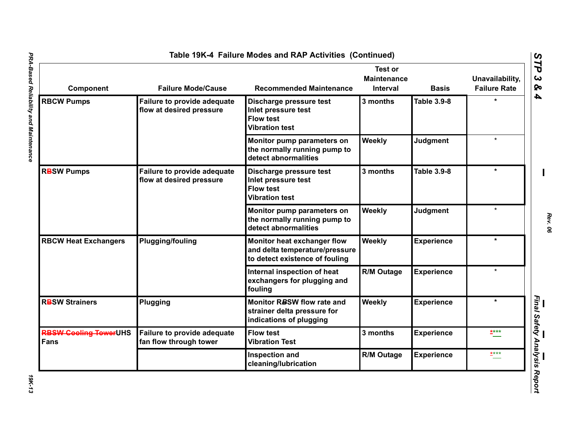| <b>Component</b>                            | <b>Failure Mode/Cause</b>                               | <b>Recommended Maintenance</b>                                                                  | <b>Test or</b><br><b>Maintenance</b><br>Interval | <b>Basis</b>       | Unavailability,<br><b>Failure Rate</b> |
|---------------------------------------------|---------------------------------------------------------|-------------------------------------------------------------------------------------------------|--------------------------------------------------|--------------------|----------------------------------------|
| <b>RBCW Pumps</b>                           | Failure to provide adequate<br>flow at desired pressure | Discharge pressure test<br>Inlet pressure test<br><b>Flow test</b><br><b>Vibration test</b>     | 3 months                                         | <b>Table 3.9-8</b> | ÷                                      |
|                                             |                                                         | Monitor pump parameters on<br>the normally running pump to<br>detect abnormalities              | Weekly                                           | <b>Judgment</b>    | $\bullet$                              |
| <b>RBSW Pumps</b>                           | Failure to provide adequate<br>flow at desired pressure | Discharge pressure test<br>Inlet pressure test<br><b>Flow test</b><br><b>Vibration test</b>     | 3 months                                         | <b>Table 3.9-8</b> |                                        |
|                                             |                                                         | Monitor pump parameters on<br>the normally running pump to<br>detect abnormalities              | Weekly                                           | <b>Judgment</b>    | $\star$                                |
| <b>RBCW Heat Exchangers</b>                 | <b>Plugging/fouling</b>                                 | Monitor heat exchanger flow<br>and delta temperature/pressure<br>to detect existence of fouling | Weekly                                           | <b>Experience</b>  | $\star$                                |
|                                             |                                                         | Internal inspection of heat<br>exchangers for plugging and<br>fouling                           | R/M Outage                                       | <b>Experience</b>  |                                        |
| <b>RBSW Strainers</b>                       | Plugging                                                | Monitor RBSW flow rate and<br>strainer delta pressure for<br>indications of plugging            | Weekly                                           | <b>Experience</b>  | $\star$                                |
| <b>RBSW Cooling TowerUHS</b><br><b>Fans</b> | Failure to provide adequate<br>fan flow through tower   | <b>Flow test</b><br><b>Vibration Test</b>                                                       | 3 months                                         | <b>Experience</b>  | ****                                   |
|                                             |                                                         | Inspection and<br>cleaning/lubrication                                                          | <b>R/M Outage</b>                                | <b>Experience</b>  | $***$                                  |

*Rev. 06*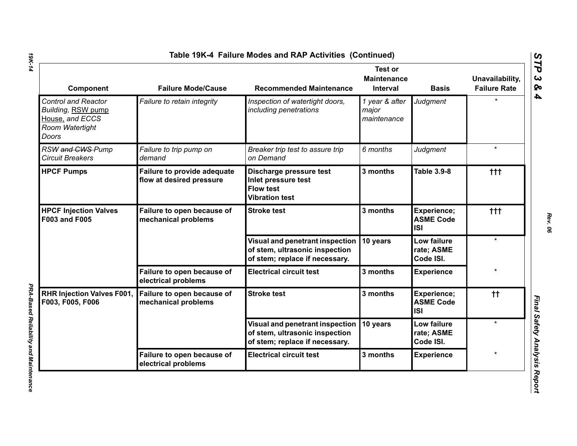| Component                                                                                       | <b>Failure Mode/Cause</b>                               | <b>Recommended Maintenance</b>                                                                      | <b>Test or</b><br><b>Maintenance</b><br><b>Interval</b> | <b>Basis</b>                                  | Unavailability,<br><b>Failure Rate</b> |
|-------------------------------------------------------------------------------------------------|---------------------------------------------------------|-----------------------------------------------------------------------------------------------------|---------------------------------------------------------|-----------------------------------------------|----------------------------------------|
| <b>Control and Reactor</b><br>Building, RSW pump<br>House, and ECCS<br>Room Watertight<br>Doors | Failure to retain integrity                             | Inspection of watertight doors,<br>including penetrations                                           | 1 year & after<br>major<br>maintenance                  | Judgment                                      | ÷                                      |
| RSW and CWS-Pump<br><b>Circuit Breakers</b>                                                     | Failure to trip pump on<br>demand                       | Breaker trip test to assure trip<br>on Demand                                                       | 6 months                                                | Judgment                                      | $\star$                                |
| <b>HPCF Pumps</b>                                                                               | Failure to provide adequate<br>flow at desired pressure | Discharge pressure test<br>Inlet pressure test<br><b>Flow test</b><br><b>Vibration test</b>         | 3 months                                                | <b>Table 3.9-8</b>                            | ttt                                    |
| <b>HPCF Injection Valves</b><br><b>F003 and F005</b>                                            | Failure to open because of<br>mechanical problems       | <b>Stroke test</b>                                                                                  | 3 months                                                | Experience;<br><b>ASME Code</b><br><b>ISI</b> | $+ + +$                                |
|                                                                                                 |                                                         | Visual and penetrant inspection<br>of stem, ultrasonic inspection<br>of stem; replace if necessary. | 10 years                                                | Low failure<br>rate; ASME<br>Code ISI.        | $\star$                                |
|                                                                                                 | Failure to open because of<br>electrical problems       | <b>Electrical circuit test</b>                                                                      | 3 months                                                | <b>Experience</b>                             |                                        |
| <b>RHR Injection Valves F001,</b><br>F003, F005, F006                                           | Failure to open because of<br>mechanical problems       | <b>Stroke test</b>                                                                                  | 3 months                                                | Experience;<br><b>ASME Code</b><br><b>ISI</b> | $^{\dagger\dagger}$                    |
|                                                                                                 |                                                         | Visual and penetrant inspection<br>of stem, ultrasonic inspection<br>of stem; replace if necessary. | 10 years                                                | Low failure<br>rate; ASME<br>Code ISI.        | $\star$                                |
|                                                                                                 | Failure to open because of<br>electrical problems       | <b>Electrical circuit test</b>                                                                      | 3 months                                                | <b>Experience</b>                             |                                        |

*PRA-Based Reliability and Maintenance* 

PRA-Based Reliability and Maintenance

*STP 3 & 4*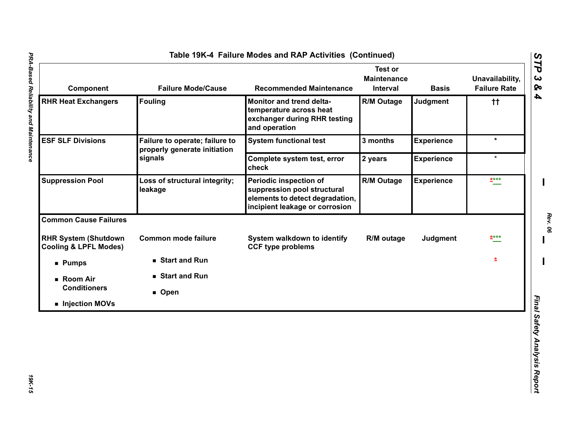| Component                                                       | <b>Failure Mode/Cause</b>                                      | <b>Recommended Maintenance</b>                                                                                             | <b>Test or</b><br><b>Maintenance</b><br>Interval | <b>Basis</b>      | Unavailability,<br><b>Failure Rate</b> |
|-----------------------------------------------------------------|----------------------------------------------------------------|----------------------------------------------------------------------------------------------------------------------------|--------------------------------------------------|-------------------|----------------------------------------|
| <b>RHR Heat Exchangers</b>                                      | <b>Fouling</b>                                                 | Monitor and trend delta-<br>temperature across heat<br>exchanger during RHR testing<br>and operation                       | <b>R/M Outage</b>                                | <b>Judgment</b>   | tt.                                    |
| <b>ESF SLF Divisions</b><br>signals                             | Failure to operate; failure to<br>properly generate initiation | <b>System functional test</b>                                                                                              | 3 months                                         | <b>Experience</b> | $\star$                                |
|                                                                 |                                                                | Complete system test, error<br>check                                                                                       | 2 years                                          | <b>Experience</b> | $\star$                                |
| <b>Suppression Pool</b>                                         | Loss of structural integrity;<br>leakage                       | Periodic inspection of<br>suppression pool structural<br>elements to detect degradation,<br>incipient leakage or corrosion | <b>R/M Outage</b>                                | <b>Experience</b> | ****                                   |
| <b>Common Cause Failures</b>                                    |                                                                |                                                                                                                            |                                                  |                   |                                        |
| <b>RHR System (Shutdown</b><br><b>Cooling &amp; LPFL Modes)</b> | <b>Common mode failure</b>                                     | System walkdown to identify<br><b>CCF type problems</b>                                                                    | R/M outage                                       | Judgment          | ****                                   |
| <b>Pumps</b>                                                    | ■ Start and Run                                                |                                                                                                                            |                                                  |                   | 图                                      |
| ■ Room Air                                                      | ■ Start and Run                                                |                                                                                                                            |                                                  |                   |                                        |
| <b>Conditioners</b>                                             | ■ Open                                                         |                                                                                                                            |                                                  |                   |                                        |
| Injection MOVs                                                  |                                                                |                                                                                                                            |                                                  |                   |                                        |

*Rev. 06*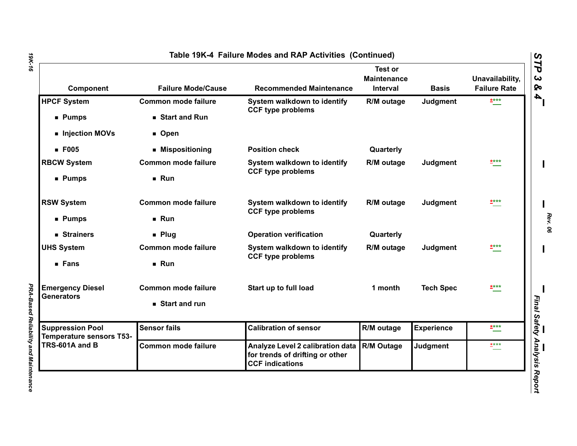| Component                                         | <b>Failure Mode/Cause</b>  | <b>Recommended Maintenance</b>                                                                | Test or<br><b>Maintenance</b><br>Interval | <b>Basis</b>      | Unavailability,<br><b>Failure Rate</b> |
|---------------------------------------------------|----------------------------|-----------------------------------------------------------------------------------------------|-------------------------------------------|-------------------|----------------------------------------|
| <b>HPCF System</b>                                | Common mode failure        | System walkdown to identify<br><b>CCF type problems</b>                                       | R/M outage                                | Judgment          | ****                                   |
| ■ Pumps                                           | Start and Run              |                                                                                               |                                           |                   |                                        |
| Injection MOVs                                    | ■ Open                     |                                                                                               |                                           |                   |                                        |
| $E$ F005                                          | ■ Mispositioning           | <b>Position check</b>                                                                         | Quarterly                                 |                   |                                        |
| <b>RBCW System</b>                                | <b>Common mode failure</b> | System walkdown to identify<br><b>CCF type problems</b>                                       | R/M outage                                | Judgment          | ****                                   |
| <b>Pumps</b>                                      | Run                        |                                                                                               |                                           |                   |                                        |
| <b>RSW System</b>                                 | <b>Common mode failure</b> | System walkdown to identify<br><b>CCF type problems</b>                                       | R/M outage                                | Judgment          | ****                                   |
| ■ Pumps                                           | Run                        |                                                                                               |                                           |                   |                                        |
| ■ Strainers                                       | $\blacksquare$ Plug        | <b>Operation verification</b>                                                                 | Quarterly                                 |                   |                                        |
| <b>UHS System</b>                                 | <b>Common mode failure</b> | System walkdown to identify                                                                   | R/M outage                                | Judgment          | ****                                   |
| <b>Fans</b>                                       | Run                        | <b>CCF type problems</b>                                                                      |                                           |                   |                                        |
| <b>Emergency Diesel</b>                           | <b>Common mode failure</b> | Start up to full load                                                                         | 1 month                                   | <b>Tech Spec</b>  | ****                                   |
| <b>Generators</b>                                 | Start and run              |                                                                                               |                                           |                   |                                        |
| <b>Suppression Pool</b>                           | <b>Sensor fails</b>        | <b>Calibration of sensor</b>                                                                  | R/M outage                                | <b>Experience</b> | <b>****</b>                            |
| <b>Temperature sensors T53-</b><br>TRS-601A and B | <b>Common mode failure</b> | Analyze Level 2 calibration data<br>for trends of drifting or other<br><b>CCF indications</b> | <b>R/M Outage</b>                         | <b>Judgment</b>   | $***$                                  |